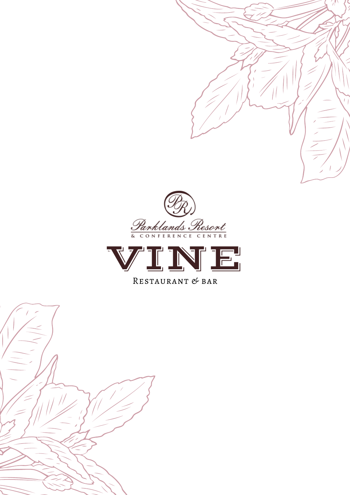



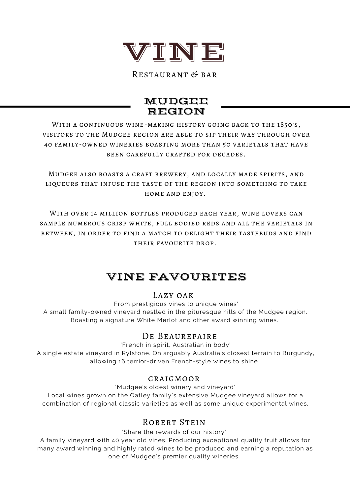

Restaurant & bar

### MUDGEE REGION

With a continuous wine-making history going back to the 1850's, visitors to the Mudgee region are able to sip their way through over 40 family-owned wineries boasting more than 50 varietals that have been carefully crafted for decades.

Mudgee also boasts a craft brewery, and locally made spirits, and liqueurs that infuse the taste of the region into something to take home and enjoy.

With over 14 million bottles produced each year, wine lovers can sample numerous crisp white, full bodied reds and all the varietals in between, in order to find a match to delight their tastebuds and find their favourite drop.

## VINE FAVOURITES

#### Lazy oak

'From prestigious vines to unique wines' A small family-owned vineyard nestled in the pituresque hills of the Mudgee region. Boasting a signature White Merlot and other award winning wines.

#### DE BEAUREPAIRE

'French in spirit, Australian in body'

A single estate vineyard in Rylstone. On arguably Australia's closest terrain to Burgundy, allowing 16 terrior-driven French-style wines to shine.

#### craigmoor

'Mudgee's oldest winery and vineyard'

Local wines grown on the Oatley family's extensive Mudgee vineyard allows for a combination of regional classic varieties as well as some unique experimental wines.

#### ROBERT STEIN

'Share the rewards of our history'

A family vineyard with 40 year old vines. Producing exceptional quality fruit allows for many award winning and highly rated wines to be produced and earning a reputation as one of Mudgee's premier quality wineries.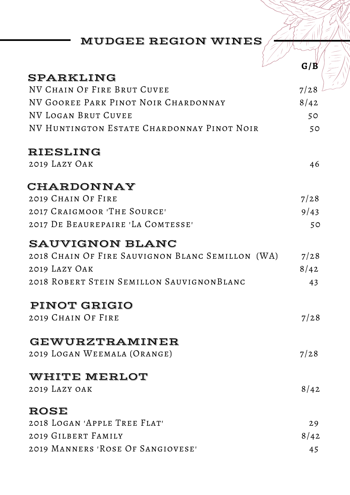# MUDGEE REGION WINES

|                                                  | G/B  |
|--------------------------------------------------|------|
| SPARKLING                                        |      |
| NV CHAIN OF FIRE BRUT CUVEE                      | 7/28 |
| NV GOOREE PARK PINOT NOIR CHARDONNAY             | 8/42 |
| NV LOGAN BRUT CUVEE                              | 50   |
| NV HUNTINGTON ESTATE CHARDONNAY PINOT NOIR       | 50   |
| <b>RIESLING</b>                                  |      |
| 2019 LAZY OAK                                    | 46   |
| CHARDONNAY                                       |      |
| 2019 CHAIN OF FIRE                               | 7/28 |
| 2017 CRAIGMOOR 'THE SOURCE'                      | 9/43 |
| 2017 DE BEAUREPAIRE 'LA COMTESSE'                | 50   |
| <b>SAUVIGNON BLANC</b>                           |      |
| 2018 CHAIN OF FIRE SAUVIGNON BLANC SEMILLON (WA) | 7/28 |
| 2019 LAZY OAK                                    | 8/42 |
| 2018 ROBERT STEIN SEMILLON SAUVIGNONBLANC        | 43   |
| PINOT GRIGIO                                     |      |
| 2019 CHAIN OF FIRE                               | 7/28 |
| GEWURZTRAMINER                                   |      |
| 2019 LOGAN WEEMALA (ORANGE)                      | 7/28 |
| WHITE MERLOT                                     |      |
| 2019 LAZY OAK                                    | 8/42 |
| ROSE                                             |      |
| 2018 LOGAN 'APPLE TREE FLAT'                     | 29   |
| 2019 GILBERT FAMILY                              | 8/42 |
| 2019 MANNERS 'ROSE OF SANGIOVESE'                | 45   |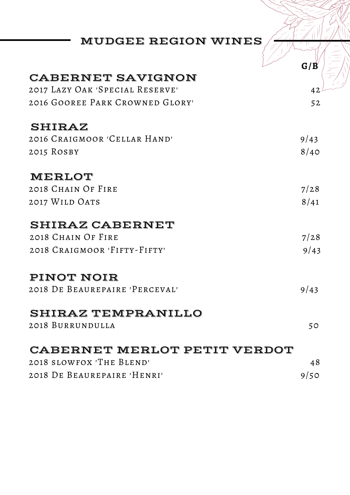| <b>MUDGEE REGION WINES</b>          |      |
|-------------------------------------|------|
|                                     |      |
| <b>CABERNET SAVIGNON</b>            | G/B  |
|                                     |      |
| 2017 LAZY OAK 'SPECIAL RESERVE'     | 42   |
| 2016 GOOREE PARK CROWNED GLORY'     | 52   |
| <b>SHIRAZ</b>                       |      |
| 2016 CRAIGMOOR 'CELLAR HAND'        | 9/43 |
| 2015 ROSBY                          | 8/40 |
| MERLOT                              |      |
| 2018 CHAIN OF FIRE                  | 7/28 |
| 2017 WILD OATS                      | 8/41 |
| <b>SHIRAZ CABERNET</b>              |      |
| 2018 CHAIN OF FIRE                  | 7/28 |
| 2018 CRAIGMOOR 'FIFTY-FIFTY'        | 9/43 |
| PINOT NOIR                          |      |
| 2018 DE BEAUREPAIRE 'PERCEVAL'      | 9/43 |
| <b>SHIRAZ TEMPRANILLO</b>           |      |
| 2018 BURRUNDULLA                    | 50   |
| <b>CABERNET MERLOT PETIT VERDOT</b> |      |
| 2018 SLOWFOX 'THE BLEND'            | 48   |
|                                     |      |

2018 De Beaurepaire 'Henri' 9/50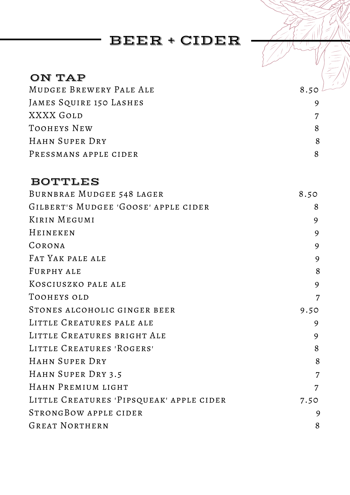## BEER + CIDER

## ON TAP

MUDGEE BREWERY PALE ALE 8.50 JAMES SQUIRE 150 LASHES 9 XXXX GOLD 7 TOOHEYS NEW 8 HAHN SUPER DRY 8 PRESSMANS APPLE CIDER 8

### BOTTLES

| BURNBRAE MUDGEE 548 LAGER                | 8.50           |
|------------------------------------------|----------------|
| GILBERT'S MUDGEE 'GOOSE' APPLE CIDER     | 8              |
| KIRIN MEGUMI                             | 9              |
| HEINEKEN                                 | 9              |
| CORONA                                   | 9              |
| FAT YAK PALE ALE                         | 9              |
| FURPHY ALE                               | 8              |
| KOSCIUSZKO PALE ALE                      | 9              |
| TOOHEYS OLD                              | 7              |
| STONES ALCOHOLIC GINGER BEER             | 9.50           |
| LITTLE CREATURES PALE ALE                | 9              |
| LITTLE CREATURES BRIGHT ALE              | 9              |
| LITTLE CREATURES 'ROGERS'                | 8              |
| HAHN SUPER DRY                           | 8              |
| HAHN SUPER DRY 3.5                       | $\overline{7}$ |
| HAHN PREMIUM LIGHT                       | 7              |
| LITTLE CREATURES 'PIPSQUEAK' APPLE CIDER | 7.50           |
| STRONGBOW APPLE CIDER                    | 9              |
| <b>GREAT NORTHERN</b>                    | 8              |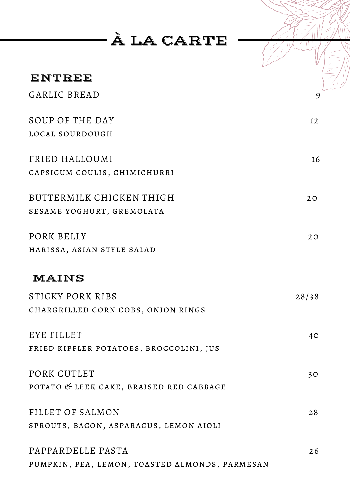À LA CARTE

| ENTREE                                  |       |
|-----------------------------------------|-------|
| GARLIC BREAD                            | 9     |
| SOUP OF THE DAY                         | 12    |
| LOCAL SOURDOUGH                         |       |
| FRIED HALLOUMI                          | 16    |
| CAPSICUM COULIS, CHIMICHURRI            |       |
| BUTTERMILK CHICKEN THIGH                | 20    |
| SESAME YOGHURT, GREMOLATA               |       |
| PORK BELLY                              | 20    |
| HARISSA, ASIAN STYLE SALAD              |       |
| MAINS                                   |       |
| STICKY PORK RIBS                        | 28/38 |
| CHARGRILLED CORN COBS, ONION RINGS      |       |
| EYE FILLET                              | 40    |
| FRIED KIPFLER POTATOES, BROCCOLINI, JUS |       |
| PORK CUTLET                             | 30    |
| POTATO & LEEK CAKE, BRAISED RED CABBAGE |       |
| FILLET OF SALMON                        | 28    |
| SPROUTS, BACON, ASPARAGUS, LEMON AIOLI  |       |
| PAPPARDELLE PASTA                       | 26    |
|                                         |       |

pumpkin, pea, lemon, toasted almonds, parmesan